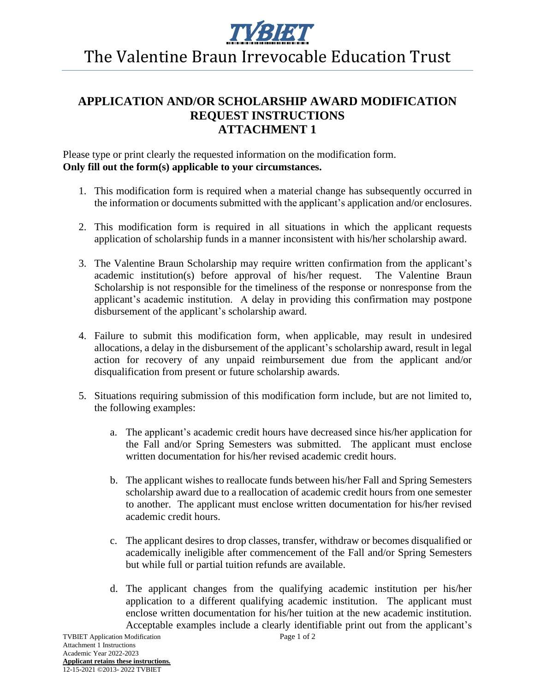

## The Valentine Braun Irrevocable Education Trust

## **APPLICATION AND/OR SCHOLARSHIP AWARD MODIFICATION REQUEST INSTRUCTIONS ATTACHMENT 1**

Please type or print clearly the requested information on the modification form. **Only fill out the form(s) applicable to your circumstances.**

- 1. This modification form is required when a material change has subsequently occurred in the information or documents submitted with the applicant's application and/or enclosures.
- 2. This modification form is required in all situations in which the applicant requests application of scholarship funds in a manner inconsistent with his/her scholarship award.
- 3. The Valentine Braun Scholarship may require written confirmation from the applicant's academic institution(s) before approval of his/her request. The Valentine Braun Scholarship is not responsible for the timeliness of the response or nonresponse from the applicant's academic institution. A delay in providing this confirmation may postpone disbursement of the applicant's scholarship award.
- 4. Failure to submit this modification form, when applicable, may result in undesired allocations, a delay in the disbursement of the applicant's scholarship award, result in legal action for recovery of any unpaid reimbursement due from the applicant and/or disqualification from present or future scholarship awards.
- 5. Situations requiring submission of this modification form include, but are not limited to, the following examples:
	- a. The applicant's academic credit hours have decreased since his/her application for the Fall and/or Spring Semesters was submitted. The applicant must enclose written documentation for his/her revised academic credit hours.
	- b. The applicant wishes to reallocate funds between his/her Fall and Spring Semesters scholarship award due to a reallocation of academic credit hours from one semester to another. The applicant must enclose written documentation for his/her revised academic credit hours.
	- c. The applicant desires to drop classes, transfer, withdraw or becomes disqualified or academically ineligible after commencement of the Fall and/or Spring Semesters but while full or partial tuition refunds are available.
	- d. The applicant changes from the qualifying academic institution per his/her application to a different qualifying academic institution. The applicant must enclose written documentation for his/her tuition at the new academic institution. Acceptable examples include a clearly identifiable print out from the applicant's